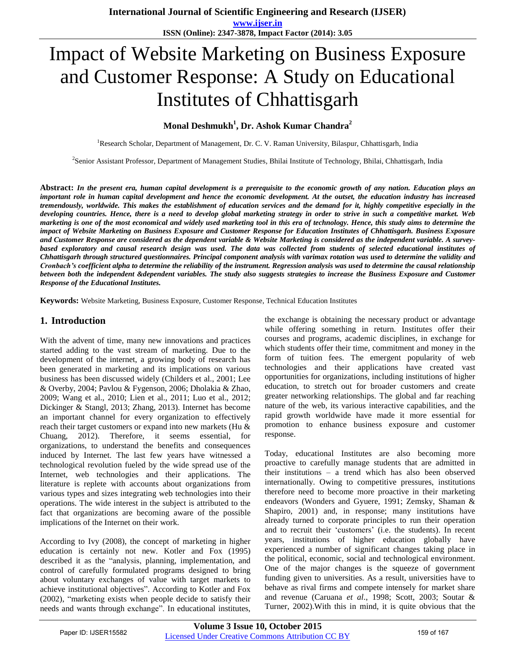# Impact of Website Marketing on Business Exposure and Customer Response: A Study on Educational Institutes of Chhattisgarh

## **Monal Deshmukh<sup>1</sup> , Dr. Ashok Kumar Chandra<sup>2</sup>**

<sup>1</sup>Research Scholar, Department of Management, Dr. C. V. Raman University, Bilaspur, Chhattisgarh, India

2 Senior Assistant Professor, Department of Management Studies, Bhilai Institute of Technology, Bhilai, Chhattisgarh, India

**Abstract:** *In the present era, human capital development is a prerequisite to the economic growth of any nation. Education plays an important role in human capital development and hence the economic development. At the outset, the education industry has increased tremendously, worldwide. This makes the establishment of education services and the demand for it, highly competitive especially in the developing countries. Hence, there is a need to develop global marketing strategy in order to strive in such a competitive market. Web marketing is one of the most economical and widely used marketing tool in this era of technology. Hence, this study aims to determine the impact of Website Marketing on Business Exposure and Customer Response for Education Institutes of Chhattisgarh. Business Exposure and Customer Response are considered as the dependent variable & Website Marketing is considered as the independent variable. A surveybased exploratory and causal research design was used. The data was collected from students of selected educational institutes of Chhattisgarh through structured questionnaires. Principal component analysis with varimax rotation was used to determine the validity and Cronbach's coefficient alpha to determine the reliability of the instrument. Regression analysis was used to determine the causal relationship between both the independent &dependent variables. The study also suggests strategies to increase the Business Exposure and Customer Response of the Educational Institutes.* 

**Keywords:** Website Marketing, Business Exposure, Customer Response, Technical Education Institutes

## **1. Introduction**

With the advent of time, many new innovations and practices started adding to the vast stream of marketing. Due to the development of the internet, a growing body of research has been generated in marketing and its implications on various business has been discussed widely (Childers et al., 2001; Lee & Overby, 2004; Pavlou & Fygenson, 2006; Dholakia & Zhao, 2009; Wang et al., 2010; Lien et al., 2011; Luo et al., 2012; Dickinger & Stangl, 2013; Zhang, 2013). Internet has become an important channel for every organization to effectively reach their target customers or expand into new markets (Hu & Chuang, 2012). Therefore, it seems essential, for organizations, to understand the benefits and consequences induced by Internet. The last few years have witnessed a technological revolution fueled by the wide spread use of the Internet, web technologies and their applications. The literature is replete with accounts about organizations from various types and sizes integrating web technologies into their operations. The wide interest in the subject is attributed to the fact that organizations are becoming aware of the possible implications of the Internet on their work.

According to Ivy (2008), the concept of marketing in higher education is certainly not new. Kotler and Fox (1995) described it as the "analysis, planning, implementation, and control of carefully formulated programs designed to bring about voluntary exchanges of value with target markets to achieve institutional objectives". According to Kotler and Fox (2002), "marketing exists when people decide to satisfy their needs and wants through exchange". In educational institutes,

the exchange is obtaining the necessary product or advantage while offering something in return. Institutes offer their courses and programs, academic disciplines, in exchange for which students offer their time, commitment and money in the form of tuition fees. The emergent popularity of web technologies and their applications have created vast opportunities for organizations, including institutions of higher education, to stretch out for broader customers and create greater networking relationships. The global and far reaching nature of the web, its various interactive capabilities, and the rapid growth worldwide have made it more essential for promotion to enhance business exposure and customer response.

Today, educational Institutes are also becoming more proactive to carefully manage students that are admitted in their institutions – a trend which has also been observed internationally. Owing to competitive pressures, institutions therefore need to become more proactive in their marketing endeavors (Wonders and Gyuere, 1991; Zemsky, Shaman & Shapiro, 2001) and, in response; many institutions have already turned to corporate principles to run their operation and to recruit their 'customers' (i.e. the students). In recent years, institutions of higher education globally have experienced a number of significant changes taking place in the political, economic, social and technological environment. One of the major changes is the squeeze of government funding given to universities. As a result, universities have to behave as rival firms and compete intensely for market share and revenue (Caruana *et al*., 1998; Scott, 2003; Soutar & Turner, 2002).With this in mind, it is quite obvious that the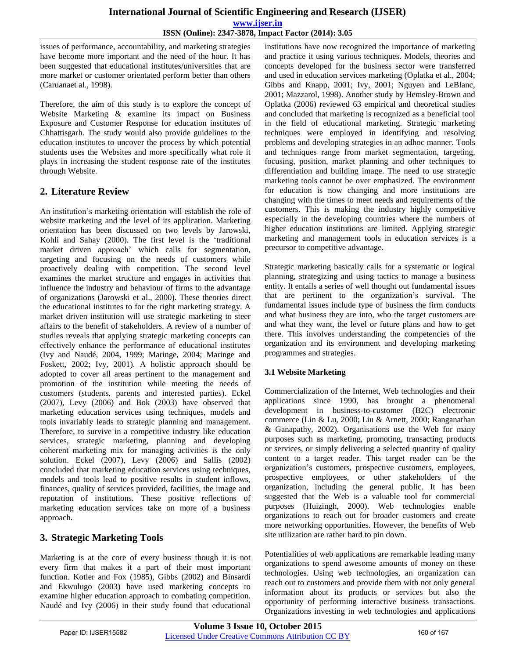issues of performance, accountability, and marketing strategies have become more important and the need of the hour. It has been suggested that educational institutes/universities that are more market or customer orientated perform better than others (Caruanaet al*.*, 1998).

Therefore, the aim of this study is to explore the concept of Website Marketing & examine its impact on Business Exposure and Customer Response for education institutes of Chhattisgarh. The study would also provide guidelines to the education institutes to uncover the process by which potential students uses the Websites and more specifically what role it plays in increasing the student response rate of the institutes through Website.

# **2. Literature Review**

An institution"s marketing orientation will establish the role of website marketing and the level of its application. Marketing orientation has been discussed on two levels by Jarowski, Kohli and Sahay (2000). The first level is the "traditional market driven approach" which calls for segmentation, targeting and focusing on the needs of customers while proactively dealing with competition. The second level examines the market structure and engages in activities that influence the industry and behaviour of firms to the advantage of organizations (Jarowski et al., 2000). These theories direct the educational institutes to for the right marketing strategy. A market driven institution will use strategic marketing to steer affairs to the benefit of stakeholders. A review of a number of studies reveals that applying strategic marketing concepts can effectively enhance the performance of educational institutes (Ivy and Naudé, 2004, 1999; Maringe, 2004; Maringe and Foskett, 2002; Ivy, 2001). A holistic approach should be adopted to cover all areas pertinent to the management and promotion of the institution while meeting the needs of customers (students, parents and interested parties). Eckel (2007), Levy (2006) and Bok (2003) have observed that marketing education services using techniques, models and tools invariably leads to strategic planning and management. Therefore, to survive in a competitive industry like education services, strategic marketing, planning and developing coherent marketing mix for managing activities is the only solution. Eckel (2007), Levy (2006) and Sallis (2002) concluded that marketing education services using techniques, models and tools lead to positive results in student inflows, finances, quality of services provided, facilities, the image and reputation of institutions. These positive reflections of marketing education services take on more of a business approach.

# **3. Strategic Marketing Tools**

Marketing is at the core of every business though it is not every firm that makes it a part of their most important function. Kotler and Fox (1985), Gibbs (2002) and Binsardi and Ekwulugo (2003) have used marketing concepts to examine higher education approach to combating competition. Naudé and Ivy (2006) in their study found that educational institutions have now recognized the importance of marketing and practice it using various techniques. Models, theories and concepts developed for the business sector were transferred and used in education services marketing (Oplatka et al., 2004; Gibbs and Knapp, 2001; Ivy, 2001; Nguyen and LeBlanc, 2001; Mazzarol, 1998). Another study by Hemsley-Brown and Oplatka (2006) reviewed 63 empirical and theoretical studies and concluded that marketing is recognized as a beneficial tool in the field of educational marketing. Strategic marketing techniques were employed in identifying and resolving problems and developing strategies in an adhoc manner. Tools and techniques range from market segmentation, targeting, focusing, position, market planning and other techniques to differentiation and building image. The need to use strategic marketing tools cannot be over emphasized. The environment for education is now changing and more institutions are changing with the times to meet needs and requirements of the customers. This is making the industry highly competitive especially in the developing countries where the numbers of higher education institutions are limited. Applying strategic marketing and management tools in education services is a precursor to competitive advantage.

Strategic marketing basically calls for a systematic or logical planning, strategizing and using tactics to manage a business entity. It entails a series of well thought out fundamental issues that are pertinent to the organization"s survival. The fundamental issues include type of business the firm conducts and what business they are into, who the target customers are and what they want, the level or future plans and how to get there. This involves understanding the competencies of the organization and its environment and developing marketing programmes and strategies.

## **3.1 Website Marketing**

Commercialization of the Internet, Web technologies and their applications since 1990, has brought a phenomenal development in business-to-customer (B2C) electronic commerce (Lin & Lu, 2000; Liu & Arnett, 2000; Ranganathan & Ganapathy, 2002). Organisations use the Web for many purposes such as marketing, promoting, transacting products or services, or simply delivering a selected quantity of quality content to a target reader. This target reader can be the organization"s customers, prospective customers, employees, prospective employees, or other stakeholders of the organization, including the general public. It has been suggested that the Web is a valuable tool for commercial purposes (Huizingh, 2000). Web technologies enable organizations to reach out for broader customers and create more networking opportunities. However, the benefits of Web site utilization are rather hard to pin down.

Potentialities of web applications are remarkable leading many organizations to spend awesome amounts of money on these technologies. Using web technologies, an organization can reach out to customers and provide them with not only general information about its products or services but also the opportunity of performing interactive business transactions. Organizations investing in web technologies and applications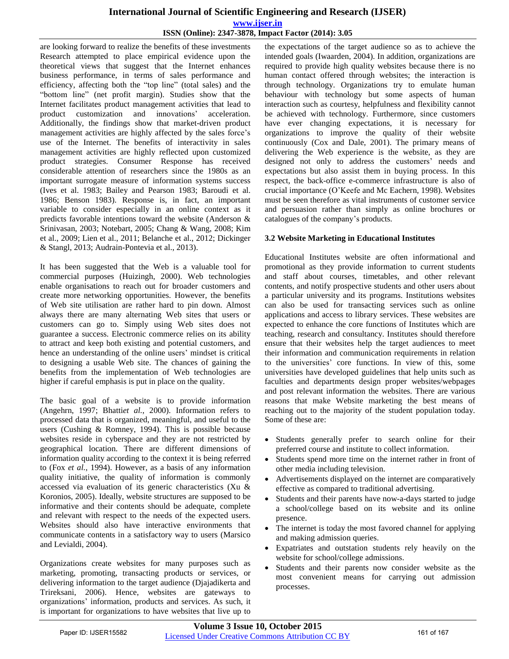are looking forward to realize the benefits of these investments Research attempted to place empirical evidence upon the theoretical views that suggest that the Internet enhances business performance, in terms of sales performance and efficiency, affecting both the "top line" (total sales) and the "bottom line" (net profit margin). Studies show that the Internet facilitates product management activities that lead to product customization and innovations' acceleration. Additionally, the findings show that market-driven product management activities are highly affected by the sales force"s use of the Internet. The benefits of interactivity in sales management activities are highly reflected upon customized product strategies. Consumer Response has received considerable attention of researchers since the 1980s as an important surrogate measure of information systems success (Ives et al. 1983; Bailey and Pearson 1983; Baroudi et al. 1986; Benson 1983). Response is, in fact, an important variable to consider especially in an online context as it predicts favorable intentions toward the website (Anderson & Srinivasan, 2003; Notebart, 2005; Chang & Wang, 2008; Kim et al., 2009; Lien et al., 2011; Belanche et al., 2012; Dickinger & Stangl, 2013; Audrain-Pontevia et al., 2013).

It has been suggested that the Web is a valuable tool for commercial purposes (Huizingh, 2000). Web technologies enable organisations to reach out for broader customers and create more networking opportunities. However, the benefits of Web site utilisation are rather hard to pin down. Almost always there are many alternating Web sites that users or customers can go to. Simply using Web sites does not guarantee a success. Electronic commerce relies on its ability to attract and keep both existing and potential customers, and hence an understanding of the online users' mindset is critical to designing a usable Web site. The chances of gaining the benefits from the implementation of Web technologies are higher if careful emphasis is put in place on the quality.

The basic goal of a website is to provide information (Angehrn, 1997; Bhatti*et al.*, 2000). Information refers to processed data that is organized, meaningful, and useful to the users (Cushing & Romney, 1994). This is possible because websites reside in cyberspace and they are not restricted by geographical location. There are different dimensions of information quality according to the context it is being referred to (Fox *et al.*, 1994). However, as a basis of any information quality initiative, the quality of information is commonly accessed via evaluation of its generic characteristics (Xu & Koronios, 2005). Ideally, website structures are supposed to be informative and their contents should be adequate, complete and relevant with respect to the needs of the expected users. Websites should also have interactive environments that communicate contents in a satisfactory way to users (Marsico and Levialdi, 2004).

Organizations create websites for many purposes such as marketing, promoting, transacting products or services, or delivering information to the target audience (Djajadikerta and Trireksani, 2006). Hence, websites are gateways to organizations" information, products and services. As such, it is important for organizations to have websites that live up to

the expectations of the target audience so as to achieve the intended goals (Iwaarden, 2004). In addition, organizations are required to provide high quality websites because there is no human contact offered through websites; the interaction is through technology. Organizations try to emulate human behaviour with technology but some aspects of human interaction such as courtesy, helpfulness and flexibility cannot be achieved with technology. Furthermore, since customers have ever changing expectations, it is necessary for organizations to improve the quality of their website continuously (Cox and Dale, 2001). The primary means of delivering the Web experience is the website, as they are designed not only to address the customers' needs and expectations but also assist them in buying process. In this respect, the back-office e-commerce infrastructure is also of crucial importance (O"Keefe and Mc Eachern, 1998). Websites must be seen therefore as vital instruments of customer service and persuasion rather than simply as online brochures or catalogues of the company"s products.

## **3.2 Website Marketing in Educational Institutes**

Educational Institutes website are often informational and promotional as they provide information to current students and staff about courses, timetables, and other relevant contents, and notify prospective students and other users about a particular university and its programs. Institutions websites can also be used for transacting services such as online applications and access to library services. These websites are expected to enhance the core functions of Institutes which are teaching, research and consultancy. Institutes should therefore ensure that their websites help the target audiences to meet their information and communication requirements in relation to the universities" core functions. In view of this, some universities have developed guidelines that help units such as faculties and departments design proper websites/webpages and post relevant information the websites. There are various reasons that make Website marketing the best means of reaching out to the majority of the student population today. Some of these are:

- Students generally prefer to search online for their preferred course and institute to collect information.
- Students spend more time on the internet rather in front of other media including television.
- Advertisements displayed on the internet are comparatively effective as compared to traditional advertising.
- Students and their parents have now-a-days started to judge a school/college based on its website and its online presence.
- The internet is today the most favored channel for applying and making admission queries.
- Expatriates and outstation students rely heavily on the website for school/college admissions.
- Students and their parents now consider website as the most convenient means for carrying out admission processes.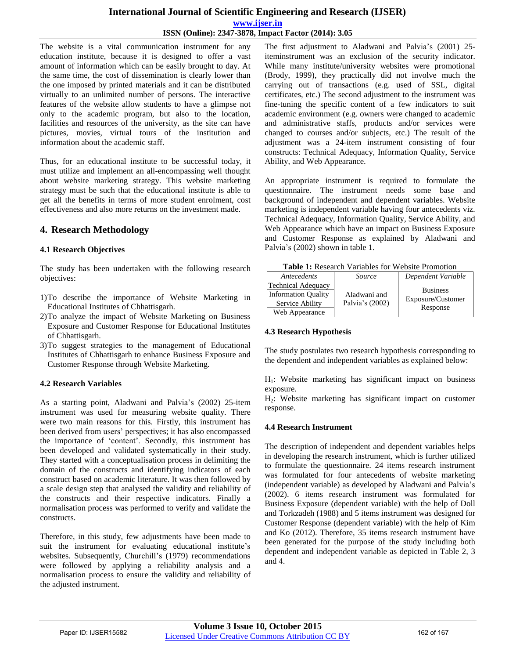The website is a vital communication instrument for any education institute, because it is designed to offer a vast amount of information which can be easily brought to day. At the same time, the cost of dissemination is clearly lower than the one imposed by printed materials and it can be distributed virtually to an unlimited number of persons. The interactive features of the website allow students to have a glimpse not only to the academic program, but also to the location, facilities and resources of the university, as the site can have pictures, movies, virtual tours of the institution and information about the academic staff.

Thus, for an educational institute to be successful today, it must utilize and implement an all-encompassing well thought about website marketing strategy. This website marketing strategy must be such that the educational institute is able to get all the benefits in terms of more student enrolment, cost effectiveness and also more returns on the investment made.

## **4. Research Methodology**

#### **4.1 Research Objectives**

The study has been undertaken with the following research objectives:

- 1)To describe the importance of Website Marketing in Educational Institutes of Chhattisgarh.
- 2)To analyze the impact of Website Marketing on Business Exposure and Customer Response for Educational Institutes of Chhattisgarh.
- 3)To suggest strategies to the management of Educational Institutes of Chhattisgarh to enhance Business Exposure and Customer Response through Website Marketing.

#### **4.2 Research Variables**

As a starting point, Aladwani and Palvia"s (2002) 25-item instrument was used for measuring website quality. There were two main reasons for this. Firstly, this instrument has been derived from users" perspectives; it has also encompassed the importance of "content". Secondly, this instrument has been developed and validated systematically in their study. They started with a conceptualisation process in delimiting the domain of the constructs and identifying indicators of each construct based on academic literature. It was then followed by a scale design step that analysed the validity and reliability of the constructs and their respective indicators. Finally a normalisation process was performed to verify and validate the constructs.

Therefore, in this study, few adjustments have been made to suit the instrument for evaluating educational institute's websites. Subsequently, Churchill's (1979) recommendations were followed by applying a reliability analysis and a normalisation process to ensure the validity and reliability of the adjusted instrument.

The first adjustment to Aladwani and Palvia's (2001) 25iteminstrument was an exclusion of the security indicator. While many institute/university websites were promotional (Brody, 1999), they practically did not involve much the carrying out of transactions (e.g. used of SSL, digital certificates, etc.) The second adjustment to the instrument was fine-tuning the specific content of a few indicators to suit academic environment (e.g. owners were changed to academic and administrative staffs, products and/or services were changed to courses and/or subjects, etc.) The result of the adjustment was a 24-item instrument consisting of four constructs: Technical Adequacy, Information Quality, Service Ability, and Web Appearance.

An appropriate instrument is required to formulate the questionnaire. The instrument needs some base and background of independent and dependent variables. Website marketing is independent variable having four antecedents viz. Technical Adequacy, Information Quality, Service Ability, and Web Appearance which have an impact on Business Exposure and Customer Response as explained by Aladwani and Palvia"s (2002) shown in table 1.

**Table 1:** Research Variables for Website Promotion

| Antecedents                | Source          | Dependent Variable            |  |  |  |
|----------------------------|-----------------|-------------------------------|--|--|--|
| <b>Technical Adequacy</b>  |                 |                               |  |  |  |
| <b>Information Quality</b> | Aladwani and    | <b>Business</b>               |  |  |  |
| Service Ability            | Palvia's (2002) | Exposure/Customer<br>Response |  |  |  |
| Web Appearance             |                 |                               |  |  |  |

#### **4.3 Research Hypothesis**

The study postulates two research hypothesis corresponding to the dependent and independent variables as explained below:

 $H<sub>1</sub>$ : Website marketing has significant impact on business exposure.

H2: Website marketing has significant impact on customer response.

#### **4.4 Research Instrument**

The description of independent and dependent variables helps in developing the research instrument, which is further utilized to formulate the questionnaire. 24 items research instrument was formulated for four antecedents of website marketing (independent variable) as developed by Aladwani and Palvia"s (2002). 6 items research instrument was formulated for Business Exposure (dependent variable) with the help of Doll and Torkzadeh (1988) and 5 items instrument was designed for Customer Response (dependent variable) with the help of Kim and Ko (2012). Therefore, 35 items research instrument have been generated for the purpose of the study including both dependent and independent variable as depicted in Table 2, 3 and 4.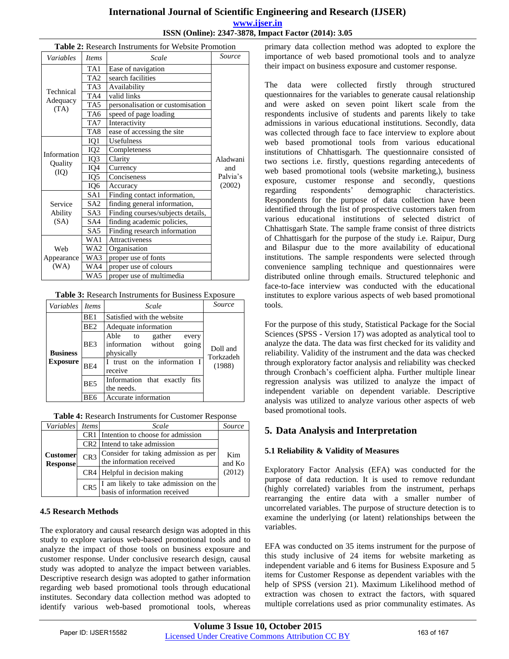|                  | <b>rapic 2.</b> Kescaren Histruments for Website Fromotion |                                   |          |  |
|------------------|------------------------------------------------------------|-----------------------------------|----------|--|
| Variables        | <i>Items</i>                                               | Scale                             | Source   |  |
|                  | TA1                                                        | Ease of navigation                |          |  |
|                  | TA <sub>2</sub>                                            | search facilities                 |          |  |
|                  | TA3                                                        | Availability                      |          |  |
| Technical        | TA4                                                        | valid links                       |          |  |
| Adequacy<br>(TA) | TA <sub>5</sub>                                            | personalisation or customisation  |          |  |
|                  | TA6                                                        | speed of page loading             |          |  |
|                  | TA7                                                        | Interactivity                     |          |  |
|                  | TA8                                                        | ease of accessing the site        |          |  |
|                  | IQ1                                                        | <b>Usefulness</b>                 |          |  |
| Information      | IQ <sub>2</sub>                                            | Completeness                      |          |  |
|                  | IQ3                                                        | Clarity                           | Aladwani |  |
| Quality<br>(IO)  | IQ4                                                        | Currency                          | and      |  |
|                  | IQ5                                                        | Conciseness                       | Palvia's |  |
| IQ <sub>6</sub>  |                                                            | Accuracy                          | (2002)   |  |
|                  | SA <sub>1</sub>                                            | Finding contact information,      |          |  |
| Service          | SA <sub>2</sub>                                            | finding general information,      |          |  |
| Ability          | SA <sub>3</sub>                                            | Finding courses/subjects details, |          |  |
| (SA)             | SA4                                                        | finding academic policies,        |          |  |
|                  | SA <sub>5</sub>                                            | Finding research information      |          |  |
|                  | WA1                                                        | Attractiveness                    |          |  |
| Web              | WA2                                                        | Organisation                      |          |  |
| Appearance       | WA3                                                        | proper use of fonts               |          |  |
| (WA)             | WA4                                                        | proper use of colours             |          |  |
|                  | WA5                                                        | proper use of multimedia          |          |  |

## **Table 2:** Research Instruments for Website Promotion

**Table 3:** Research Instruments for Business Exposure

| Variables       | <i>Items</i>                                                         | Scale                                                                    | Source                |  |  |
|-----------------|----------------------------------------------------------------------|--------------------------------------------------------------------------|-----------------------|--|--|
|                 | BE1                                                                  | Satisfied with the website                                               |                       |  |  |
|                 | BE <sub>2</sub>                                                      | Adequate information                                                     |                       |  |  |
| <b>Business</b> | BE3                                                                  | Able to<br>gather<br>every<br>information without<br>going<br>physically | Doll and<br>Torkzadeh |  |  |
| <b>Exposure</b> | I trust on the information I<br>(1988)<br>BE <sub>4</sub><br>receive |                                                                          |                       |  |  |
|                 | BE5                                                                  | Information that exactly<br>fits<br>the needs.                           |                       |  |  |
|                 | Accurate information<br>BE6                                          |                                                                          |                       |  |  |

|  |  | Table 4: Research Instruments for Customer Response |
|--|--|-----------------------------------------------------|
|--|--|-----------------------------------------------------|

| Variables       | <i>Items</i>    | Scale                                    | Source |  |
|-----------------|-----------------|------------------------------------------|--------|--|
|                 |                 | CR1 Intention to choose for admission    |        |  |
|                 |                 | CR <sub>2</sub> Intend to take admission |        |  |
| <b>Customer</b> | CR <sub>3</sub> | Consider for taking admission as per     | Kim    |  |
| <b>Response</b> |                 | the information received                 | and Ko |  |
|                 |                 | CR4 Helpful in decision making           | (2012) |  |
|                 | CR5             | I am likely to take admission on the     |        |  |
|                 |                 | basis of information received            |        |  |

#### **4.5 Research Methods**

The exploratory and causal research design was adopted in this study to explore various web-based promotional tools and to analyze the impact of those tools on business exposure and customer response. Under conclusive research design, causal study was adopted to analyze the impact between variables. Descriptive research design was adopted to gather information regarding web based promotional tools through educational institutes. Secondary data collection method was adopted to identify various web-based promotional tools, whereas

primary data collection method was adopted to explore the importance of web based promotional tools and to analyze their impact on business exposure and customer response.

The data were collected firstly through structured questionnaires for the variables to generate causal relationship and were asked on seven point likert scale from the respondents inclusive of students and parents likely to take admissions in various educational institutions. Secondly, data was collected through face to face interview to explore about web based promotional tools from various educational institutions of Chhattisgarh. The questionnaire consisted of two sections i.e. firstly, questions regarding antecedents of web based promotional tools (website marketing,), business exposure, customer response and secondly, questions regarding respondents" demographic characteristics. Respondents for the purpose of data collection have been identified through the list of prospective customers taken from various educational institutions of selected district of Chhattisgarh State. The sample frame consist of three districts of Chhattisgarh for the purpose of the study i.e. Raipur, Durg and Bilaspur due to the more availability of educational institutions. The sample respondents were selected through convenience sampling technique and questionnaires were distributed online through emails. Structured telephonic and face-to-face interview was conducted with the educational institutes to explore various aspects of web based promotional tools.

For the purpose of this study, Statistical Package for the Social Sciences (SPSS - Version 17) was adopted as analytical tool to analyze the data. The data was first checked for its validity and reliability. Validity of the instrument and the data was checked through exploratory factor analysis and reliability was checked through Cronbach"s coefficient alpha. Further multiple linear regression analysis was utilized to analyze the impact of independent variable on dependent variable. Descriptive analysis was utilized to analyze various other aspects of web based promotional tools.

# **5. Data Analysis and Interpretation**

#### **5.1 Reliability & Validity of Measures**

Exploratory Factor Analysis (EFA) was conducted for the purpose of data reduction. It is used to remove redundant (highly correlated) variables from the instrument, perhaps rearranging the entire data with a smaller number of uncorrelated variables. The purpose of structure detection is to examine the underlying (or latent) relationships between the variables.

EFA was conducted on 35 items instrument for the purpose of this study inclusive of 24 items for website marketing as independent variable and 6 items for Business Exposure and 5 items for Customer Response as dependent variables with the help of SPSS (version 21). Maximum Likelihood method of extraction was chosen to extract the factors, with squared multiple correlations used as prior communality estimates. As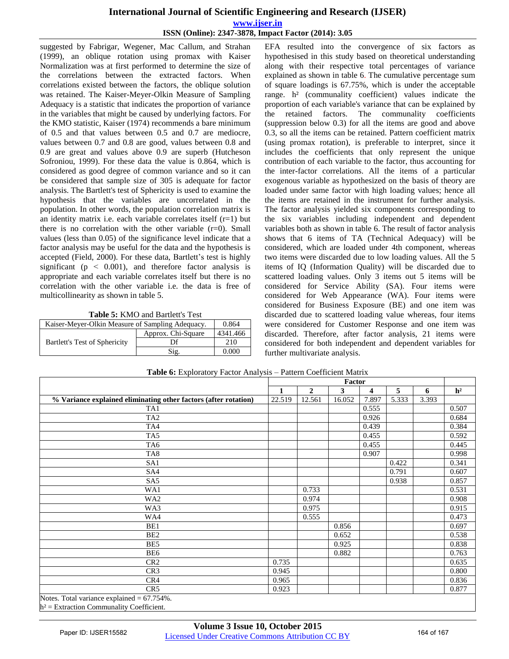suggested by Fabrigar, Wegener, Mac Callum, and Strahan (1999), an oblique rotation using promax with Kaiser Normalization was at first performed to determine the size of the correlations between the extracted factors. When correlations existed between the factors, the oblique solution was retained. The Kaiser-Meyer-Olkin Measure of Sampling Adequacy is a statistic that indicates the proportion of variance in the variables that might be caused by underlying factors. For the KMO statistic, Kaiser (1974) recommends a bare minimum of 0.5 and that values between 0.5 and 0.7 are mediocre, values between 0.7 and 0.8 are good, values between 0.8 and 0.9 are great and values above 0.9 are superb (Hutcheson Sofroniou, 1999). For these data the value is 0.864, which is considered as good degree of common variance and so it can be considered that sample size of 305 is adequate for factor analysis. The Bartlett's test of Sphericity is used to examine the hypothesis that the variables are uncorrelated in the population. In other words, the population correlation matrix is an identity matrix i.e. each variable correlates itself  $(r=1)$  but there is no correlation with the other variable  $(r=0)$ . Small values (less than 0.05) of the significance level indicate that a factor analysis may be useful for the data and the hypothesis is accepted (Field, 2000). For these data, Bartlett's test is highly significant ( $p \leq 0.001$ ), and therefore factor analysis is appropriate and each variable correlates itself but there is no correlation with the other variable i.e. the data is free of multicollinearity as shown in table 5.

**Table 5:** KMO and Bartlett's Test

| Kaiser-Meyer-Olkin Measure of Sampling Adequacy. | 0.864              |          |
|--------------------------------------------------|--------------------|----------|
|                                                  | Approx. Chi-Square | 4341.466 |
| Bartlett's Test of Sphericity                    | Df                 | 210      |
|                                                  | Sig.               | 0.000    |

EFA resulted into the convergence of six factors as hypothesised in this study based on theoretical understanding along with their respective total percentages of variance explained as shown in table 6. The cumulative percentage sum of square loadings is 67.75%, which is under the acceptable range. h² (communality coefficient) values indicate the proportion of each variable's variance that can be explained by the retained factors. The communality coefficients (suppression below 0.3) for all the items are good and above 0.3, so all the items can be retained. Pattern coefficient matrix (using promax rotation), is preferable to interpret, since it includes the coefficients that only represent the unique contribution of each variable to the factor, thus accounting for the inter-factor correlations. All the items of a particular exogenous variable as hypothesized on the basis of theory are loaded under same factor with high loading values; hence all the items are retained in the instrument for further analysis. The factor analysis yielded six components corresponding to the six variables including independent and dependent variables both as shown in table 6. The result of factor analysis shows that 6 items of TA (Technical Adequacy) will be considered, which are loaded under 4th component, whereas two items were discarded due to low loading values. All the 5 items of IQ (Information Quality) will be discarded due to scattered loading values. Only 3 items out 5 items will be considered for Service Ability (SA). Four items were considered for Web Appearance (WA). Four items were considered for Business Exposure (BE) and one item was discarded due to scattered loading value whereas, four items were considered for Customer Response and one item was discarded. Therefore, after factor analysis, 21 items were considered for both independent and dependent variables for further multivariate analysis.

|                                                                 |        | Factor         |        |                         |       |       |                |
|-----------------------------------------------------------------|--------|----------------|--------|-------------------------|-------|-------|----------------|
|                                                                 | 1      | $\overline{2}$ | 3      | $\overline{\mathbf{4}}$ | 5     | 6     | h <sup>2</sup> |
| % Variance explained eliminating other factors (after rotation) | 22.519 | 12.561         | 16.052 | 7.897                   | 5.333 | 3.393 |                |
| TA1                                                             |        |                |        | 0.555                   |       |       | 0.507          |
| TA <sub>2</sub>                                                 |        |                |        | 0.926                   |       |       | 0.684          |
| TA4                                                             |        |                |        | 0.439                   |       |       | 0.384          |
| TA5                                                             |        |                |        | 0.455                   |       |       | 0.592          |
| TA6                                                             |        |                |        | 0.455                   |       |       | 0.445          |
| TA8                                                             |        |                |        | 0.907                   |       |       | 0.998          |
| SA1                                                             |        |                |        |                         | 0.422 |       | 0.341          |
| SA4                                                             |        |                |        |                         | 0.791 |       | 0.607          |
| S <sub>A5</sub>                                                 |        |                |        |                         | 0.938 |       | 0.857          |
| WA1                                                             |        | 0.733          |        |                         |       |       | 0.531          |
| WA <sub>2</sub>                                                 |        | 0.974          |        |                         |       |       | 0.908          |
| WA3                                                             |        | 0.975          |        |                         |       |       | 0.915          |
| WA4                                                             |        | 0.555          |        |                         |       |       | 0.473          |
| BE1                                                             |        |                | 0.856  |                         |       |       | 0.697          |
| BE <sub>2</sub>                                                 |        |                | 0.652  |                         |       |       | 0.538          |
| BE5                                                             |        |                | 0.925  |                         |       |       | 0.838          |
| BE <sub>6</sub>                                                 |        |                | 0.882  |                         |       |       | 0.763          |
| CR <sub>2</sub>                                                 | 0.735  |                |        |                         |       |       | 0.635          |
| CR3                                                             | 0.945  |                |        |                         |       |       | 0.800          |
| CR4                                                             | 0.965  |                |        |                         |       |       | 0.836          |
| CR <sub>5</sub>                                                 | 0.923  |                |        |                         |       |       | 0.877          |
| Notes. Total variance explained $= 67.754\%$ .                  |        |                |        |                         |       |       |                |

**Table 6:** Exploratory Factor Analysis – Pattern Coefficient Matrix

 $h^2$  = Extraction Communality Coefficient.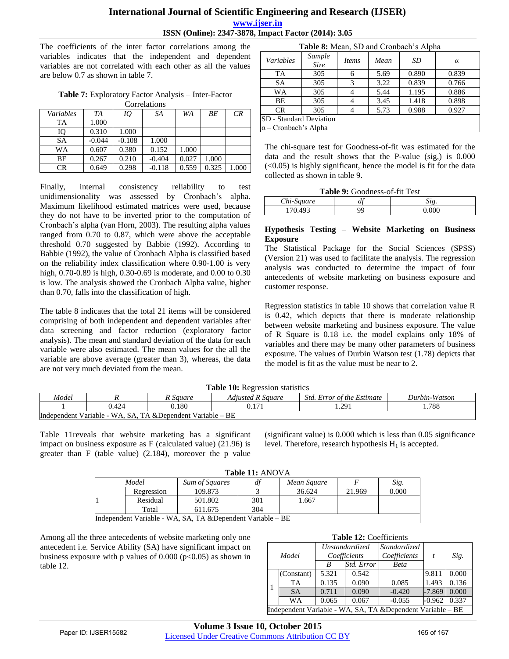The coefficients of the inter factor correlations among the variables indicates that the independent and dependent variables are not correlated with each other as all the values are below 0.7 as shown in table 7.

**Table 7:** Exploratory Factor Analysis – Inter-Factor Correlations

| Contentions |          |          |          |       |       |       |
|-------------|----------|----------|----------|-------|-------|-------|
| Variables   | TA       | IQ       | SA       | WA    | BЕ    | CR    |
| TA          | 1.000    |          |          |       |       |       |
| IQ          | 0.310    | 1.000    |          |       |       |       |
| <b>SA</b>   | $-0.044$ | $-0.108$ | 1.000    |       |       |       |
| WΑ          | 0.607    | 0.380    | 0.152    | 1.000 |       |       |
| ВE          | 0.267    | 0.210    | $-0.404$ | 0.027 | 1.000 |       |
| CR          | 0.649    | 0.298    | $-0.118$ | 0.559 | 0.325 | 1.000 |
|             |          |          |          |       |       |       |

Finally, internal consistency reliability to test unidimensionality was assessed by Cronbach"s alpha. Maximum likelihood estimated matrices were used, because they do not have to be inverted prior to the computation of Cronbach"s alpha (van Horn, 2003). The resulting alpha values ranged from 0.70 to 0.87, which were above the acceptable threshold 0.70 suggested by Babbie (1992). According to Babbie (1992), the value of Cronbach Alpha is classified based on the reliability index classification where 0.90-1.00 is very high, 0.70-0.89 is high, 0.30-0.69 is moderate, and 0.00 to 0.30 is low. The analysis showed the Cronbach Alpha value, higher than 0.70, falls into the classification of high.

The table 8 indicates that the total 21 items will be considered comprising of both independent and dependent variables after data screening and factor reduction (exploratory factor analysis). The mean and standard deviation of the data for each variable were also estimated. The mean values for the all the variable are above average (greater than 3), whereas, the data are not very much deviated from the mean.

| Table 8: Mean, SD and Cronbach's Alpha |                       |              |      |       |       |  |
|----------------------------------------|-----------------------|--------------|------|-------|-------|--|
| <b>Variables</b>                       | Sample<br><b>Size</b> | <i>Items</i> | Mean | SD    | α     |  |
| TA                                     | 305                   | 6            | 5.69 | 0.890 | 0.839 |  |
| <b>SA</b>                              | 305                   | 3            | 3.22 | 0.839 | 0.766 |  |
| WA                                     | 305                   |              | 5.44 | 1.195 | 0.886 |  |
| BE                                     | 305                   |              | 3.45 | 1.418 | 0.898 |  |
| <b>CR</b>                              | 305                   |              | 5.73 | 0.988 | 0.927 |  |
| <b>SD</b> - Standard Deviation         |                       |              |      |       |       |  |
| $\alpha$ – Cronbach's Alpha            |                       |              |      |       |       |  |

The chi-square test for Goodness-of-fit was estimated for the data and the result shows that the P-value (sig,) is 0.000  $( $0.05$ )$  is highly significant, hence the model is fit for the data collected as shown in table 9.

|  | <b>Table 9:</b> Goodness-of-fit Test |
|--|--------------------------------------|
|--|--------------------------------------|

# *Chi-Square df Sig.* 170.493 99 0.000

#### **Hypothesis Testing – Website Marketing on Business Exposure**

The Statistical Package for the Social Sciences (SPSS) (Version 21) was used to facilitate the analysis. The regression analysis was conducted to determine the impact of four antecedents of website marketing on business exposure and customer response.

Regression statistics in table 10 shows that correlation value R is 0.42, which depicts that there is moderate relationship between website marketing and business exposure. The value of R Square is 0.18 i.e. the model explains only 18% of variables and there may be many other parameters of business exposure. The values of Durbin Watson test (1.78) depicts that the model is fit as the value must be near to 2.

| <b>Table 10:</b> Regression statistics                                                       |       |       |  |      |      |
|----------------------------------------------------------------------------------------------|-------|-------|--|------|------|
| Model<br>Durbin-Watson<br>Adiusted R Sauare<br><i>Std. Error of the Estimate</i><br>R Sauare |       |       |  |      |      |
|                                                                                              | 0.424 | 0.180 |  | .291 | .788 |
| Independent Variable - WA, SA, TA & Dependent Variable – BE                                  |       |       |  |      |      |

Table 11reveals that website marketing has a significant impact on business exposure as F (calculated value) (21.96) is greater than F (table value) (2.184), moreover the p value

(significant value) is 0.000 which is less than 0.05 significance level. Therefore, research hypothesis  $H_1$  is accepted.

|  | <b>Table 11: ANOVA</b> |
|--|------------------------|
|  |                        |

| ---------------                                             |            |                       |     |             |        |       |  |  |
|-------------------------------------------------------------|------------|-----------------------|-----|-------------|--------|-------|--|--|
|                                                             | Model      | <b>Sum of Squares</b> |     | Mean Sauare |        | Sig.  |  |  |
|                                                             | Regression | 109.873               |     | 36.624      | 21.969 | 0.000 |  |  |
|                                                             | Residual   | 501.802               | 301 | .667        |        |       |  |  |
|                                                             | Total      | 611.675               | 304 |             |        |       |  |  |
| Independent Variable - WA, SA, TA & Dependent Variable – BE |            |                       |     |             |        |       |  |  |

Among all the three antecedents of website marketing only one antecedent i.e. Service Ability (SA) have significant impact on business exposure with p values of  $0.000$  (p<0.05) as shown in table 12.

| Model                                                       |            | Unstandardized |            | <i>Standardized</i> |          |       |
|-------------------------------------------------------------|------------|----------------|------------|---------------------|----------|-------|
|                                                             |            | Coefficients   |            | Coefficients        | t        | Sig.  |
|                                                             |            | B              | Std. Error | <b>Beta</b>         |          |       |
| l 1                                                         | (Constant) | 5.321          | 0.542      |                     | 9.811    | 0.000 |
|                                                             | TA         | 0.135          | 0.090      | 0.085               | 1.493    | 0.136 |
|                                                             | <b>SA</b>  | 0.711          | 0.090      | $-0.420$            | $-7.869$ | 0.000 |
|                                                             | WA         | 0.065          | 0.067      | $-0.055$            | $-0.962$ | 0.337 |
| Independent Variable - WA, SA, TA & Dependent Variable - BE |            |                |            |                     |          |       |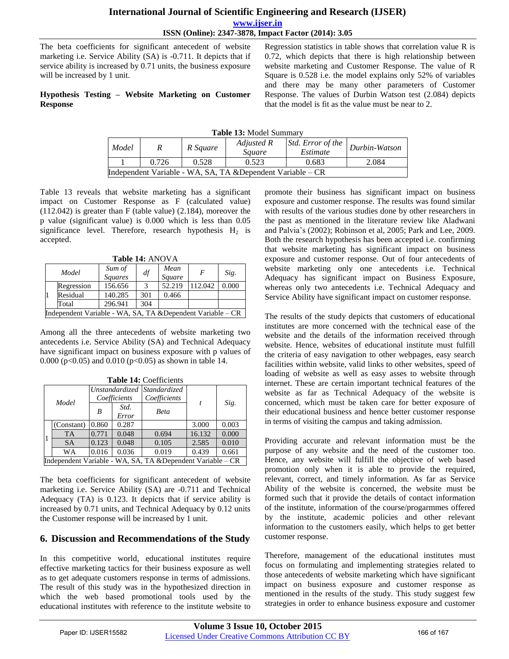The beta coefficients for significant antecedent of website marketing i.e. Service Ability (SA) is -0.711. It depicts that if service ability is increased by 0.71 units, the business exposure will be increased by 1 unit.

#### **Hypothesis Testing – Website Marketing on Customer Response**

Regression statistics in table shows that correlation value R is 0.72, which depicts that there is high relationship between website marketing and Customer Response. The value of R Square is 0.528 i.e. the model explains only 52% of variables and there may be many other parameters of Customer Response. The values of Durbin Watson test (2.084) depicts that the model is fit as the value must be near to 2.

| Table 13: Model Summary |  |
|-------------------------|--|
|-------------------------|--|

| Model                                                       |       | R Square | Adjusted R<br><i>Sauare</i> | Std. Error of the<br>Estimate | Durbin-Watson |  |
|-------------------------------------------------------------|-------|----------|-----------------------------|-------------------------------|---------------|--|
|                                                             | 0.726 | 0.528    | 0.523                       | 0.683                         | 2.084         |  |
| Independent Variable - WA, SA, TA & Dependent Variable – CR |       |          |                             |                               |               |  |

Table 13 reveals that website marketing has a significant impact on Customer Response as F (calculated value) (112.042) is greater than F (table value) (2.184), moreover the p value (significant value) is 0.000 which is less than 0.05 significance level. Therefore, research hypothesis  $H_2$  is accepted.

**Table 14:** ANOVA

| Model                                                       |            | Sum of<br><b>Squares</b> | df  | Mean<br>Square | $\boldsymbol{F}$ | Sig.  |
|-------------------------------------------------------------|------------|--------------------------|-----|----------------|------------------|-------|
|                                                             | Regression | 156.656                  | 3   | 52.219         | 112.042          | 0.000 |
|                                                             | Residual   | 140.285                  | 301 | 0.466          |                  |       |
|                                                             | Total      | 296.941                  | 304 |                |                  |       |
| Independent Variable - WA, SA, TA & Dependent Variable – CR |            |                          |     |                |                  |       |

Among all the three antecedents of website marketing two antecedents i.e. Service Ability (SA) and Technical Adequacy have significant impact on business exposure with p values of 0.000 (p<0.05) and 0.010 (p<0.05) as shown in table 14.

| Tame 17. Cochiedius                                         |            |                                             |               |              |                  |       |  |
|-------------------------------------------------------------|------------|---------------------------------------------|---------------|--------------|------------------|-------|--|
|                                                             | Model      | Unstandardized Standardized<br>Coefficients |               | Coefficients |                  |       |  |
|                                                             |            | B                                           | Std.<br>Error | <b>Beta</b>  | $\boldsymbol{t}$ | Sig.  |  |
|                                                             | (Constant) | 0.860                                       | 0.287         |              | 3.000            | 0.003 |  |
|                                                             | <b>TA</b>  | 0.771                                       | 0.048         | 0.694        | 16.132           | 0.000 |  |
|                                                             | <b>SA</b>  | 0.123                                       | 0.048         | 0.105        | 2.585            | 0.010 |  |
|                                                             | WA         | 0.016                                       | 0.036         | 0.019        | 0.439            | 0.661 |  |
| Independent Variable - WA, SA, TA & Dependent Variable – CR |            |                                             |               |              |                  |       |  |

**Table 14:** Coefficients

The beta coefficients for significant antecedent of website marketing i.e. Service Ability (SA) are -0.711 and Technical Adequacy (TA) is 0.123. It depicts that if service ability is increased by 0.71 units, and Technical Adequacy by 0.12 units the Customer response will be increased by 1 unit.

## **6. Discussion and Recommendations of the Study**

In this competitive world, educational institutes require effective marketing tactics for their business exposure as well as to get adequate customers response in terms of admissions. The result of this study was in the hypothesized direction in which the web based promotional tools used by the educational institutes with reference to the institute website to promote their business has significant impact on business exposure and customer response. The results was found similar with results of the various studies done by other researchers in the past as mentioned in the literature review like Aladwani and Palvia"s (2002); Robinson et al, 2005; Park and Lee, 2009. Both the research hypothesis has been accepted i.e. confirming that website marketing has significant impact on business exposure and customer response. Out of four antecedents of website marketing only one antecedents i.e. Technical Adequacy has significant impact on Business Exposure, whereas only two antecedents i.e. Technical Adequacy and Service Ability have significant impact on customer response.

The results of the study depicts that customers of educational institutes are more concerned with the technical ease of the website and the details of the information received through website. Hence, websites of educational institute must fulfill the criteria of easy navigation to other webpages, easy search facilities within website, valid links to other websites, speed of loading of website as well as easy asses to website through internet. These are certain important technical features of the website as far as Technical Adequacy of the website is concerned, which must be taken care for better exposure of their educational business and hence better customer response in terms of visiting the campus and taking admission.

Providing accurate and relevant information must be the purpose of any website and the need of the customer too. Hence, any website will fulfill the objective of web based promotion only when it is able to provide the required, relevant, correct, and timely information. As far as Service Ability of the website is concerned, the website must be formed such that it provide the details of contact information of the institute, information of the course/progarmmes offered by the institute, academic policies and other relevant information to the customers easily, which helps to get better customer response.

Therefore, management of the educational institutes must focus on formulating and implementing strategies related to those antecedents of website marketing which have significant impact on business exposure and customer response as mentioned in the results of the study. This study suggest few strategies in order to enhance business exposure and customer